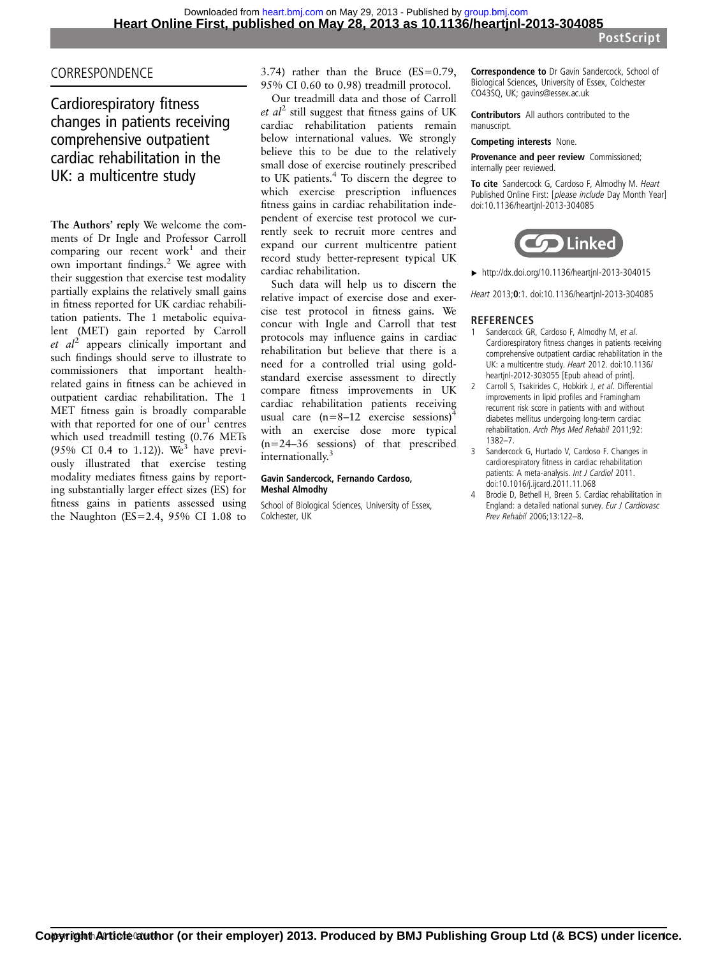### CORRESPONDENCE

## Cardiorespiratory fitness changes in patients receiving comprehensive outpatient cardiac rehabilitation in the UK: a multicentre study

The Authors' reply We welcome the comments of Dr Ingle and Professor Carroll comparing our recent work<sup>1</sup> and their own important findings.2 We agree with their suggestion that exercise test modality partially explains the relatively small gains in fitness reported for UK cardiac rehabilitation patients. The 1 metabolic equivalent (MET) gain reported by Carroll et  $al^2$  appears clinically important and such findings should serve to illustrate to commissioners that important healthrelated gains in fitness can be achieved in outpatient cardiac rehabilitation. The 1 MET fitness gain is broadly comparable with that reported for one of  $our<sup>1</sup>$  centres which used treadmill testing (0.76 METs (95% CI 0.4 to 1.12)). We<sup>3</sup> have previously illustrated that exercise testing modality mediates fitness gains by reporting substantially larger effect sizes (ES) for fitness gains in patients assessed using the Naughton ( $ES=2.4$ , 95% CI 1.08 to

3.74) rather than the Bruce (ES=0.79, 95% CI 0.60 to 0.98) treadmill protocol.

Our treadmill data and those of Carroll et  $al^2$  still suggest that fitness gains of UK cardiac rehabilitation patients remain below international values. We strongly believe this to be due to the relatively small dose of exercise routinely prescribed to UK patients.<sup>4</sup> To discern the degree to which exercise prescription influences fitness gains in cardiac rehabilitation independent of exercise test protocol we currently seek to recruit more centres and expand our current multicentre patient record study better-represent typical UK cardiac rehabilitation.

Such data will help us to discern the relative impact of exercise dose and exercise test protocol in fitness gains. We concur with Ingle and Carroll that test protocols may influence gains in cardiac rehabilitation but believe that there is a need for a controlled trial using goldstandard exercise assessment to directly compare fitness improvements in UK cardiac rehabilitation patients receiving usual care  $(n=8-12$  exercise sessions)<sup>4</sup> with an exercise dose more typical (n=24–36 sessions) of that prescribed internationally.<sup>3</sup>

#### Gavin Sandercock, Fernando Cardoso, Meshal Almodhy

School of Biological Sciences, University of Essex, Colchester, UK

Correspondence to Dr Gavin Sandercock, School of Biological Sciences, University of Essex, Colchester CO43SQ, UK; gavins@essex.ac.uk

Contributors All authors contributed to the manuscript.

Competing interests None.

Provenance and peer review Commissioned; internally peer reviewed.

To cite Sandercock G, Cardoso F, Almodhy M. Heart Published Online First: [please include Day Month Year] doi:10.1136/heartjnl-2013-304085



▸ <http://dx.doi.org/10.1136/heartjnl-2013-304015>

Heart 2013;0:1. doi:10.1136/heartjnl-2013-304085

## **REFERENCES**<br>1 Sandercock GR

- Sandercock GR, Cardoso F, Almodhy M, et al. Cardiorespiratory fitness changes in patients receiving comprehensive outpatient cardiac rehabilitation in the UK: a multicentre study. Heart 2012. doi:10.1136/ heartjnl-2012-303055 [Epub ahead of print].
- 2 Carroll S, Tsakirides C, Hobkirk J, et al. Differential improvements in lipid profiles and Framingham recurrent risk score in patients with and without diabetes mellitus undergoing long-term cardiac rehabilitation. Arch Phys Med Rehabil 2011;92: 1382–7.
- 3 Sandercock G, Hurtado V, Cardoso F. Changes in cardiorespiratory fitness in cardiac rehabilitation patients: A meta-analysis. Int J Cardiol 2011. doi:10.1016/j.ijcard.2011.11.068
- Brodie D, Bethell H, Breen S. Cardiac rehabilitation in England: a detailed national survey. Eur J Cardiovasc Prev Rehabil 2006;13:122–8.